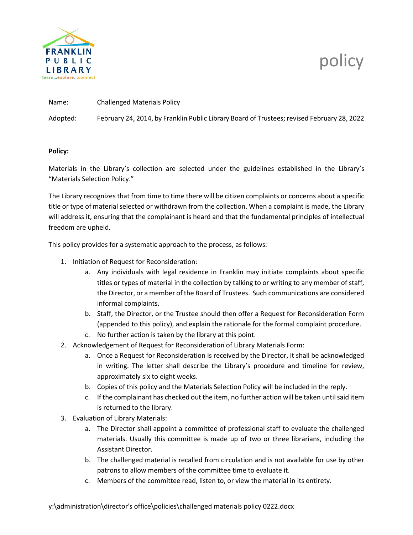

## policy

| Name: | <b>Challenged Materials Policy</b> |
|-------|------------------------------------|
|       | .                                  |

Adopted: February 24, 2014, by Franklin Public Library Board of Trustees; revised February 28, 2022

## **Policy:**

Materials in the Library's collection are selected under the guidelines established in the Library's "Materials Selection Policy."

The Library recognizes that from time to time there will be citizen complaints or concerns about a specific title or type of material selected or withdrawn from the collection. When a complaint is made, the Library will address it, ensuring that the complainant is heard and that the fundamental principles of intellectual freedom are upheld.

This policy provides for a systematic approach to the process, as follows:

- 1. Initiation of Request for Reconsideration:
	- a. Any individuals with legal residence in Franklin may initiate complaints about specific titles or types of material in the collection by talking to or writing to any member of staff, the Director, or a member of the Board of Trustees. Such communications are considered informal complaints.
	- b. Staff, the Director, or the Trustee should then offer a Request for Reconsideration Form (appended to this policy), and explain the rationale for the formal complaint procedure.
	- c. No further action is taken by the library at this point.
- 2. Acknowledgement of Request for Reconsideration of Library Materials Form:
	- a. Once a Request for Reconsideration is received by the Director, it shall be acknowledged in writing. The letter shall describe the Library's procedure and timeline for review, approximately six to eight weeks.
	- b. Copies of this policy and the Materials Selection Policy will be included in the reply.
	- c. If the complainant has checked out the item, no further action will be taken until said item is returned to the library.
- 3. Evaluation of Library Materials:
	- a. The Director shall appoint a committee of professional staff to evaluate the challenged materials. Usually this committee is made up of two or three librarians, including the Assistant Director.
	- b. The challenged material is recalled from circulation and is not available for use by other patrons to allow members of the committee time to evaluate it.
	- c. Members of the committee read, listen to, or view the material in its entirety.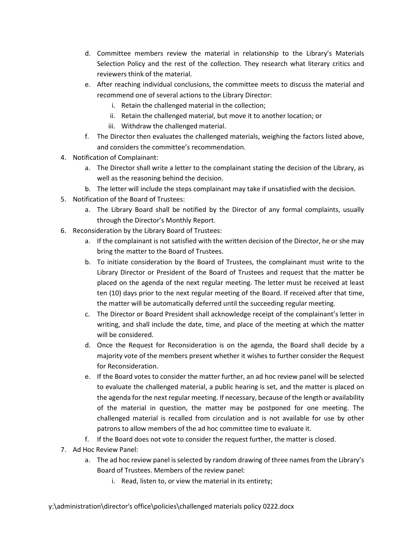- d. Committee members review the material in relationship to the Library's Materials Selection Policy and the rest of the collection. They research what literary critics and reviewers think of the material.
- e. After reaching individual conclusions, the committee meets to discuss the material and recommend one of several actions to the Library Director:
	- i. Retain the challenged material in the collection;
	- ii. Retain the challenged material, but move it to another location; or
	- iii. Withdraw the challenged material.
- f. The Director then evaluates the challenged materials, weighing the factors listed above, and considers the committee's recommendation.
- 4. Notification of Complainant:
	- a. The Director shall write a letter to the complainant stating the decision of the Library, as well as the reasoning behind the decision.
	- b. The letter will include the steps complainant may take if unsatisfied with the decision.
- 5. Notification of the Board of Trustees:
	- a. The Library Board shall be notified by the Director of any formal complaints, usually through the Director's Monthly Report.
- 6. Reconsideration by the Library Board of Trustees:
	- a. If the complainant is not satisfied with the written decision of the Director, he or she may bring the matter to the Board of Trustees.
	- b. To initiate consideration by the Board of Trustees, the complainant must write to the Library Director or President of the Board of Trustees and request that the matter be placed on the agenda of the next regular meeting. The letter must be received at least ten (10) days prior to the next regular meeting of the Board. If received after that time, the matter will be automatically deferred until the succeeding regular meeting.
	- c. The Director or Board President shall acknowledge receipt of the complainant's letter in writing, and shall include the date, time, and place of the meeting at which the matter will be considered.
	- d. Once the Request for Reconsideration is on the agenda, the Board shall decide by a majority vote of the members present whether it wishes to further consider the Request for Reconsideration.
	- e. If the Board votes to consider the matter further, an ad hoc review panel will be selected to evaluate the challenged material, a public hearing is set, and the matter is placed on the agenda for the next regular meeting. If necessary, because of the length or availability of the material in question, the matter may be postponed for one meeting. The challenged material is recalled from circulation and is not available for use by other patrons to allow members of the ad hoc committee time to evaluate it.
	- f. If the Board does not vote to consider the request further, the matter is closed.
- 7. Ad Hoc Review Panel:
	- a. The ad hoc review panel is selected by random drawing of three names from the Library's Board of Trustees. Members of the review panel:
		- i. Read, listen to, or view the material in its entirety;